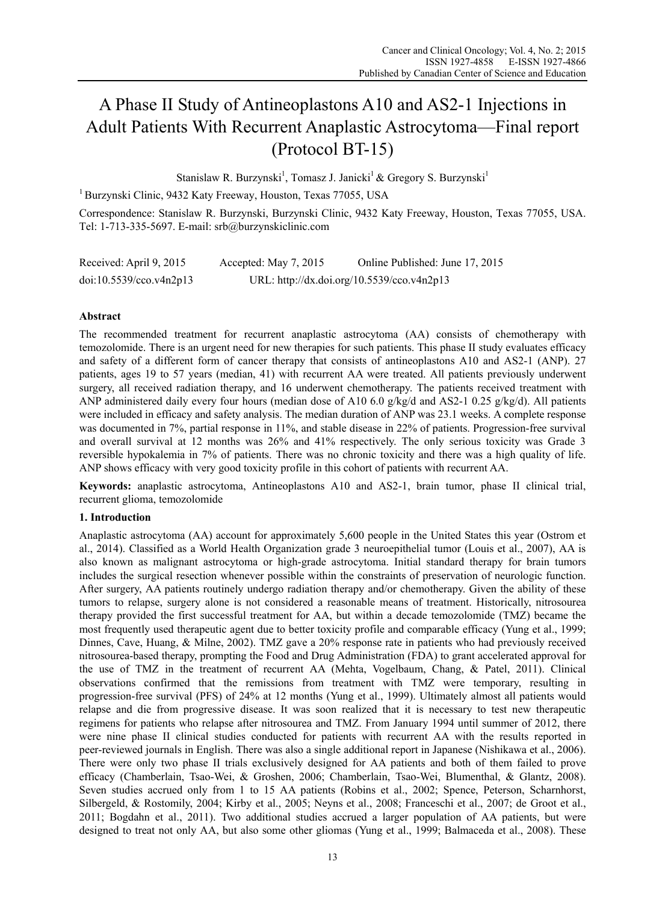# A Phase II Study of Antineoplastons A10 and AS2-1 Injections in Adult Patients With Recurrent Anaplastic Astrocytoma—Final report (Protocol BT-15)

Stanislaw R. Burzynski<sup>1</sup>, Tomasz J. Janicki<sup>1</sup> & Gregory S. Burzynski<sup>1</sup>

1 Burzynski Clinic, 9432 Katy Freeway, Houston, Texas 77055, USA

Correspondence: Stanislaw R. Burzynski, Burzynski Clinic, 9432 Katy Freeway, Houston, Texas 77055, USA. Tel: 1-713-335-5697. E-mail: srb@burzynskiclinic.com

| Received: April 9, 2015 | Accepted: May 7, 2015 | Online Published: June 17, 2015            |
|-------------------------|-----------------------|--------------------------------------------|
| doi:10.5539/cco.v4n2p13 |                       | URL: http://dx.doi.org/10.5539/cco.v4n2p13 |

## **Abstract**

The recommended treatment for recurrent anaplastic astrocytoma (AA) consists of chemotherapy with temozolomide. There is an urgent need for new therapies for such patients. This phase II study evaluates efficacy and safety of a different form of cancer therapy that consists of antineoplastons A10 and AS2-1 (ANP). 27 patients, ages 19 to 57 years (median, 41) with recurrent AA were treated. All patients previously underwent surgery, all received radiation therapy, and 16 underwent chemotherapy. The patients received treatment with ANP administered daily every four hours (median dose of A10 6.0 g/kg/d and AS2-1 0.25 g/kg/d). All patients were included in efficacy and safety analysis. The median duration of ANP was 23.1 weeks. A complete response was documented in 7%, partial response in 11%, and stable disease in 22% of patients. Progression-free survival and overall survival at 12 months was 26% and 41% respectively. The only serious toxicity was Grade 3 reversible hypokalemia in 7% of patients. There was no chronic toxicity and there was a high quality of life. ANP shows efficacy with very good toxicity profile in this cohort of patients with recurrent AA.

**Keywords:** anaplastic astrocytoma, Antineoplastons A10 and AS2-1, brain tumor, phase II clinical trial, recurrent glioma, temozolomide

## **1. Introduction**

Anaplastic astrocytoma (AA) account for approximately 5,600 people in the United States this year (Ostrom et al., 2014). Classified as a World Health Organization grade 3 neuroepithelial tumor (Louis et al., 2007), AA is also known as malignant astrocytoma or high-grade astrocytoma. Initial standard therapy for brain tumors includes the surgical resection whenever possible within the constraints of preservation of neurologic function. After surgery, AA patients routinely undergo radiation therapy and/or chemotherapy. Given the ability of these tumors to relapse, surgery alone is not considered a reasonable means of treatment. Historically, nitrosourea therapy provided the first successful treatment for AA, but within a decade temozolomide (TMZ) became the most frequently used therapeutic agent due to better toxicity profile and comparable efficacy (Yung et al., 1999; Dinnes, Cave, Huang, & Milne, 2002). TMZ gave a 20% response rate in patients who had previously received nitrosourea-based therapy, prompting the Food and Drug Administration (FDA) to grant accelerated approval for the use of TMZ in the treatment of recurrent AA (Mehta, Vogelbaum, Chang, & Patel, 2011). Clinical observations confirmed that the remissions from treatment with TMZ were temporary, resulting in progression-free survival (PFS) of 24% at 12 months (Yung et al., 1999). Ultimately almost all patients would relapse and die from progressive disease. It was soon realized that it is necessary to test new therapeutic regimens for patients who relapse after nitrosourea and TMZ. From January 1994 until summer of 2012, there were nine phase II clinical studies conducted for patients with recurrent AA with the results reported in peer-reviewed journals in English. There was also a single additional report in Japanese (Nishikawa et al., 2006). There were only two phase II trials exclusively designed for AA patients and both of them failed to prove efficacy (Chamberlain, Tsao-Wei, & Groshen, 2006; Chamberlain, Tsao-Wei, Blumenthal, & Glantz, 2008). Seven studies accrued only from 1 to 15 AA patients (Robins et al., 2002; Spence, Peterson, Scharnhorst, Silbergeld, & Rostomily, 2004; Kirby et al., 2005; Neyns et al., 2008; Franceschi et al., 2007; de Groot et al., 2011; Bogdahn et al., 2011). Two additional studies accrued a larger population of AA patients, but were designed to treat not only AA, but also some other gliomas (Yung et al., 1999; Balmaceda et al., 2008). These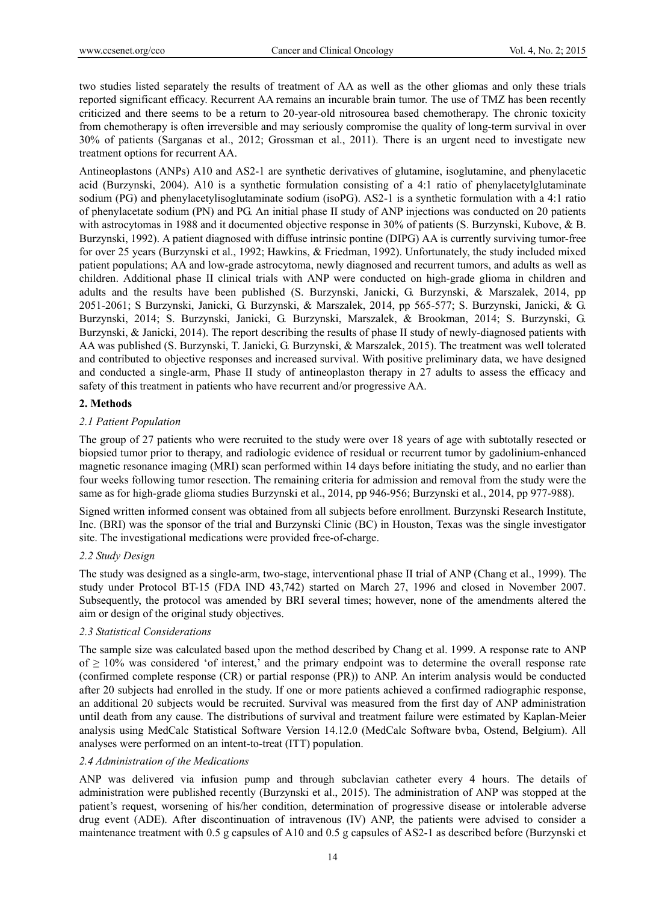two studies listed separately the results of treatment of AA as well as the other gliomas and only these trials reported significant efficacy. Recurrent AA remains an incurable brain tumor. The use of TMZ has been recently criticized and there seems to be a return to 20-year-old nitrosourea based chemotherapy. The chronic toxicity from chemotherapy is often irreversible and may seriously compromise the quality of long-term survival in over 30% of patients (Sarganas et al., 2012; Grossman et al., 2011). There is an urgent need to investigate new treatment options for recurrent AA.

Antineoplastons (ANPs) A10 and AS2-1 are synthetic derivatives of glutamine, isoglutamine, and phenylacetic acid (Burzynski, 2004). A10 is a synthetic formulation consisting of a 4:1 ratio of phenylacetylglutaminate sodium (PG) and phenylacetylisoglutaminate sodium (isoPG). AS2-1 is a synthetic formulation with a 4:1 ratio of phenylacetate sodium (PN) and PG. An initial phase II study of ANP injections was conducted on 20 patients with astrocytomas in 1988 and it documented objective response in 30% of patients (S. Burzynski, Kubove, & B. Burzynski, 1992). A patient diagnosed with diffuse intrinsic pontine (DIPG) AA is currently surviving tumor-free for over 25 years (Burzynski et al., 1992; Hawkins, & Friedman, 1992). Unfortunately, the study included mixed patient populations; AA and low-grade astrocytoma, newly diagnosed and recurrent tumors, and adults as well as children. Additional phase II clinical trials with ANP were conducted on high-grade glioma in children and adults and the results have been published (S. Burzynski, Janicki, G. Burzynski, & Marszalek, 2014, pp 2051-2061; S Burzynski, Janicki, G. Burzynski, & Marszalek, 2014, pp 565-577; S. Burzynski, Janicki, & G. Burzynski, 2014; S. Burzynski, Janicki, G. Burzynski, Marszalek, & Brookman, 2014; S. Burzynski, G. Burzynski, & Janicki, 2014). The report describing the results of phase II study of newly-diagnosed patients with AA was published (S. Burzynski, T. Janicki, G. Burzynski, & Marszalek, 2015). The treatment was well tolerated and contributed to objective responses and increased survival. With positive preliminary data, we have designed and conducted a single-arm, Phase II study of antineoplaston therapy in 27 adults to assess the efficacy and safety of this treatment in patients who have recurrent and/or progressive AA.

## **2. Methods**

## *2.1 Patient Population*

The group of 27 patients who were recruited to the study were over 18 years of age with subtotally resected or biopsied tumor prior to therapy, and radiologic evidence of residual or recurrent tumor by gadolinium-enhanced magnetic resonance imaging (MRI) scan performed within 14 days before initiating the study, and no earlier than four weeks following tumor resection. The remaining criteria for admission and removal from the study were the same as for high-grade glioma studies Burzynski et al., 2014, pp 946-956; Burzynski et al., 2014, pp 977-988).

Signed written informed consent was obtained from all subjects before enrollment. Burzynski Research Institute, Inc. (BRI) was the sponsor of the trial and Burzynski Clinic (BC) in Houston, Texas was the single investigator site. The investigational medications were provided free-of-charge.

## *2.2 Study Design*

The study was designed as a single-arm, two-stage, interventional phase II trial of ANP (Chang et al., 1999). The study under Protocol BT-15 (FDA IND 43,742) started on March 27, 1996 and closed in November 2007. Subsequently, the protocol was amended by BRI several times; however, none of the amendments altered the aim or design of the original study objectives.

## *2.3 Statistical Considerations*

The sample size was calculated based upon the method described by Chang et al. 1999. A response rate to ANP of  $\geq 10\%$  was considered 'of interest,' and the primary endpoint was to determine the overall response rate (confirmed complete response (CR) or partial response (PR)) to ANP. An interim analysis would be conducted after 20 subjects had enrolled in the study. If one or more patients achieved a confirmed radiographic response, an additional 20 subjects would be recruited. Survival was measured from the first day of ANP administration until death from any cause. The distributions of survival and treatment failure were estimated by Kaplan-Meier analysis using MedCalc Statistical Software Version 14.12.0 (MedCalc Software bvba, Ostend, Belgium). All analyses were performed on an intent-to-treat (ITT) population.

## *2.4 Administration of the Medications*

ANP was delivered via infusion pump and through subclavian catheter every 4 hours. The details of administration were published recently (Burzynski et al., 2015). The administration of ANP was stopped at the patient's request, worsening of his/her condition, determination of progressive disease or intolerable adverse drug event (ADE). After discontinuation of intravenous (IV) ANP, the patients were advised to consider a maintenance treatment with 0.5 g capsules of A10 and 0.5 g capsules of AS2-1 as described before (Burzynski et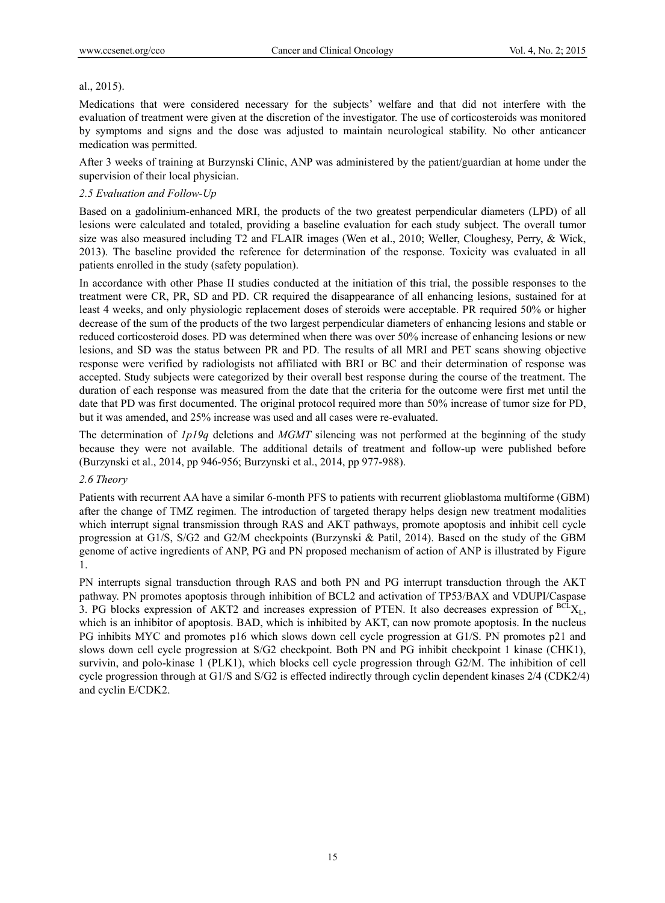## al., 2015).

Medications that were considered necessary for the subjects' welfare and that did not interfere with the evaluation of treatment were given at the discretion of the investigator. The use of corticosteroids was monitored by symptoms and signs and the dose was adjusted to maintain neurological stability. No other anticancer medication was permitted.

After 3 weeks of training at Burzynski Clinic, ANP was administered by the patient/guardian at home under the supervision of their local physician.

## *2.5 Evaluation and Follow-Up*

Based on a gadolinium-enhanced MRI, the products of the two greatest perpendicular diameters (LPD) of all lesions were calculated and totaled, providing a baseline evaluation for each study subject. The overall tumor size was also measured including T2 and FLAIR images (Wen et al., 2010; Weller, Cloughesy, Perry, & Wick, 2013). The baseline provided the reference for determination of the response. Toxicity was evaluated in all patients enrolled in the study (safety population).

In accordance with other Phase II studies conducted at the initiation of this trial, the possible responses to the treatment were CR, PR, SD and PD. CR required the disappearance of all enhancing lesions, sustained for at least 4 weeks, and only physiologic replacement doses of steroids were acceptable. PR required 50% or higher decrease of the sum of the products of the two largest perpendicular diameters of enhancing lesions and stable or reduced corticosteroid doses. PD was determined when there was over 50% increase of enhancing lesions or new lesions, and SD was the status between PR and PD. The results of all MRI and PET scans showing objective response were verified by radiologists not affiliated with BRI or BC and their determination of response was accepted. Study subjects were categorized by their overall best response during the course of the treatment. The duration of each response was measured from the date that the criteria for the outcome were first met until the date that PD was first documented. The original protocol required more than 50% increase of tumor size for PD, but it was amended, and 25% increase was used and all cases were re-evaluated.

The determination of *1p19q* deletions and *MGMT* silencing was not performed at the beginning of the study because they were not available. The additional details of treatment and follow-up were published before (Burzynski et al., 2014, pp 946-956; Burzynski et al., 2014, pp 977-988).

## *2.6 Theory*

Patients with recurrent AA have a similar 6-month PFS to patients with recurrent glioblastoma multiforme (GBM) after the change of TMZ regimen. The introduction of targeted therapy helps design new treatment modalities which interrupt signal transmission through RAS and AKT pathways, promote apoptosis and inhibit cell cycle progression at G1/S, S/G2 and G2/M checkpoints (Burzynski & Patil, 2014). Based on the study of the GBM genome of active ingredients of ANP, PG and PN proposed mechanism of action of ANP is illustrated by Figure 1.

PN interrupts signal transduction through RAS and both PN and PG interrupt transduction through the AKT pathway. PN promotes apoptosis through inhibition of BCL2 and activation of TP53/BAX and VDUPI/Caspase 3. PG blocks expression of AKT2 and increases expression of PTEN. It also decreases expression of  ${}^{BCL}X_L$ , which is an inhibitor of apoptosis. BAD, which is inhibited by AKT, can now promote apoptosis. In the nucleus PG inhibits MYC and promotes p16 which slows down cell cycle progression at G1/S. PN promotes p21 and slows down cell cycle progression at S/G2 checkpoint. Both PN and PG inhibit checkpoint 1 kinase (CHK1), survivin, and polo-kinase 1 (PLK1), which blocks cell cycle progression through G2/M. The inhibition of cell cycle progression through at G1/S and S/G2 is effected indirectly through cyclin dependent kinases 2/4 (CDK2/4) and cyclin E/CDK2.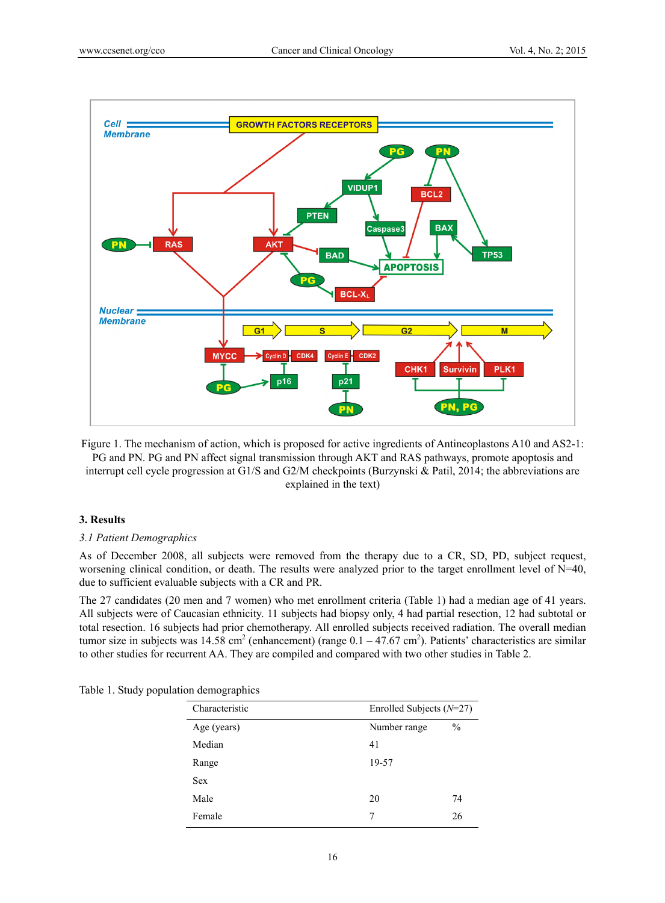

Figure 1. The mechanism of action, which is proposed for active ingredients of Antineoplastons A10 and AS2-1: PG and PN. PG and PN affect signal transmission through AKT and RAS pathways, promote apoptosis and interrupt cell cycle progression at G1/S and G2/M checkpoints (Burzynski & Patil, 2014; the abbreviations are explained in the text)

#### **3. Results**

#### *3.1 Patient Demographics*

As of December 2008, all subjects were removed from the therapy due to a CR, SD, PD, subject request, worsening clinical condition, or death. The results were analyzed prior to the target enrollment level of N=40, due to sufficient evaluable subjects with a CR and PR.

The 27 candidates (20 men and 7 women) who met enrollment criteria (Table 1) had a median age of 41 years. All subjects were of Caucasian ethnicity. 11 subjects had biopsy only, 4 had partial resection, 12 had subtotal or total resection. 16 subjects had prior chemotherapy. All enrolled subjects received radiation. The overall median tumor size in subjects was  $14.58 \text{ cm}^2$  (enhancement) (range  $0.1 - 47.67 \text{ cm}^2$ ). Patients' characteristics are similar to other studies for recurrent AA. They are compiled and compared with two other studies in Table 2.

| Table 1. Study population demographics |  |
|----------------------------------------|--|
|----------------------------------------|--|

| Characteristic |              | Enrolled Subjects $(N=27)$ |  |
|----------------|--------------|----------------------------|--|
| Age (years)    | Number range | $\frac{0}{0}$              |  |
| Median         | 41           |                            |  |
| Range          | 19-57        |                            |  |
| <b>Sex</b>     |              |                            |  |
| Male           | 20           | 74                         |  |
| Female         |              | 26                         |  |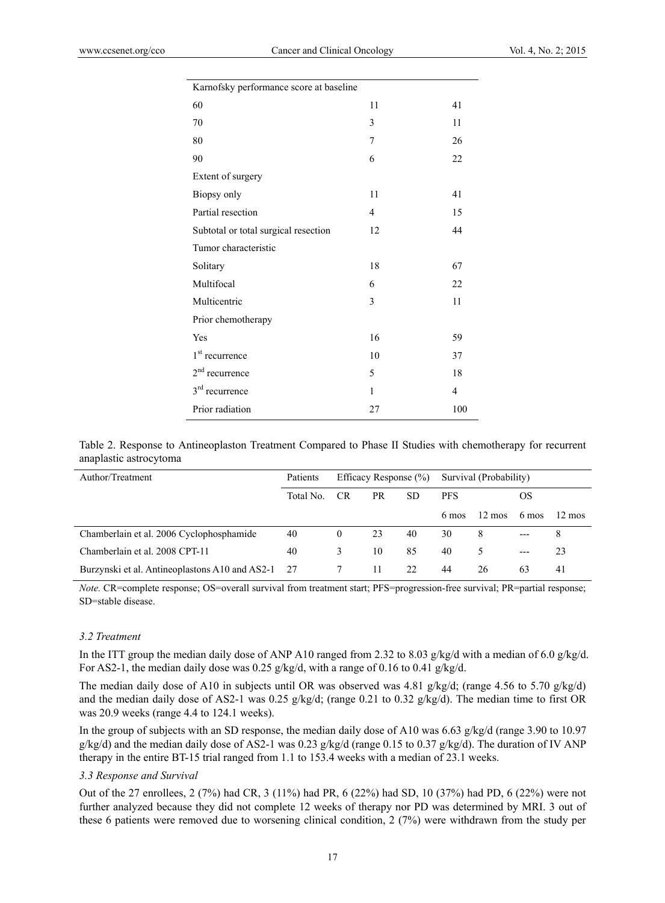| Karnofsky performance score at baseline |                |                |
|-----------------------------------------|----------------|----------------|
| 60                                      | 11             | 41             |
| 70                                      | 3              | 11             |
| 80                                      | $\overline{7}$ | 26             |
| 90                                      | 6              | 22             |
| Extent of surgery                       |                |                |
| Biopsy only                             | 11             | 41             |
| Partial resection                       | $\overline{4}$ | 15             |
| Subtotal or total surgical resection    | 12             | 44             |
| Tumor characteristic                    |                |                |
| Solitary                                | 18             | 67             |
| Multifocal                              | 6              | 22             |
| Multicentric                            | 3              | 11             |
| Prior chemotherapy                      |                |                |
| Yes                                     | 16             | 59             |
| 1 <sup>st</sup> recurrence              | 10             | 37             |
| $2nd$ recurrence                        | 5              | 18             |
| $3rd$ recurrence                        | $\mathbf{1}$   | $\overline{4}$ |
| Prior radiation                         | 27             | 100            |

Table 2. Response to Antineoplaston Treatment Compared to Phase II Studies with chemotherapy for recurrent anaplastic astrocytoma

| Author/Treatment                               | Patients  | Efficacy Response $(\% )$ |     | Survival (Probability) |            |                  |       |                  |
|------------------------------------------------|-----------|---------------------------|-----|------------------------|------------|------------------|-------|------------------|
|                                                | Total No. | CR.                       | PR. | SD.                    | <b>PFS</b> |                  | OS    |                  |
|                                                |           |                           |     |                        | 6 mos      | $12 \text{ mos}$ | 6 mos | $12 \text{ mos}$ |
| Chamberlain et al. 2006 Cyclophosphamide       | 40        | $\overline{0}$            | 23  | 40                     | 30         | 8                | $---$ | 8                |
| Chamberlain et al. 2008 CPT-11                 | 40        | 3                         | 10  | 85                     | 40         |                  | $---$ | 23               |
| Burzynski et al. Antineoplastons A10 and AS2-1 | 27        |                           | 11  | 22                     | 44         | 26               | 63    | 41               |

*Note.* CR=complete response; OS=overall survival from treatment start; PFS=progression-free survival; PR=partial response; SD=stable disease.

## *3.2 Treatment*

In the ITT group the median daily dose of ANP A10 ranged from 2.32 to 8.03 g/kg/d with a median of 6.0 g/kg/d. For AS2-1, the median daily dose was 0.25 g/kg/d, with a range of 0.16 to 0.41 g/kg/d.

The median daily dose of A10 in subjects until OR was observed was  $4.81 \frac{\text{g}}{\text{kg}}$ , (range  $4.56$  to  $5.70 \frac{\text{g}}{\text{kg}}$ ) and the median daily dose of AS2-1 was 0.25  $g/kg/d$ ; (range 0.21 to 0.32  $g/kg/d$ ). The median time to first OR was 20.9 weeks (range 4.4 to 124.1 weeks).

In the group of subjects with an SD response, the median daily dose of A10 was 6.63 g/kg/d (range 3.90 to 10.97 g/kg/d) and the median daily dose of AS2-1 was 0.23 g/kg/d (range 0.15 to 0.37 g/kg/d). The duration of IV ANP therapy in the entire BT-15 trial ranged from 1.1 to 153.4 weeks with a median of 23.1 weeks.

## *3.3 Response and Survival*

Out of the 27 enrollees, 2 (7%) had CR, 3 (11%) had PR, 6 (22%) had SD, 10 (37%) had PD, 6 (22%) were not further analyzed because they did not complete 12 weeks of therapy nor PD was determined by MRI. 3 out of these 6 patients were removed due to worsening clinical condition, 2 (7%) were withdrawn from the study per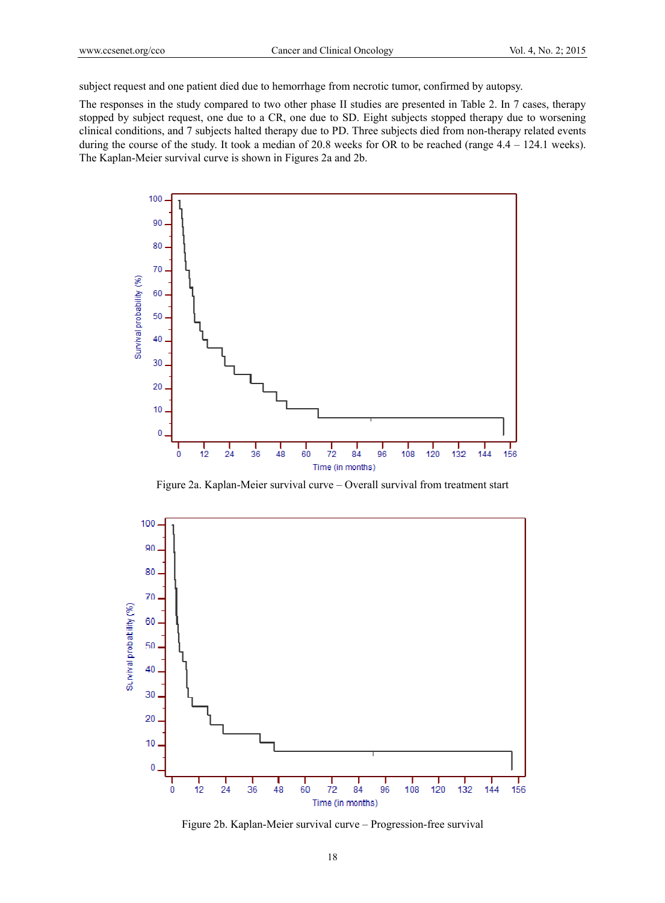subject request and one patient died due to hemorrhage from necrotic tumor, confirmed by autopsy.

The responses in the study compared to two other phase II studies are presented in Table 2. In 7 cases, therapy stopped by subject request, one due to a CR, one due to SD. Eight subjects stopped therapy due to worsening clinical conditions, and 7 subjects halted therapy due to PD. Three subjects died from non-therapy related events during the course of the study. It took a median of 20.8 weeks for OR to be reached (range 4.4 – 124.1 weeks). The Kaplan-Meier survival curve is shown in Figures 2a and 2b.



Figure 2a. Kaplan-Meier survival curve – Overall survival from treatment start



Figure 2b. Kaplan-Meier survival curve – Progression-free survival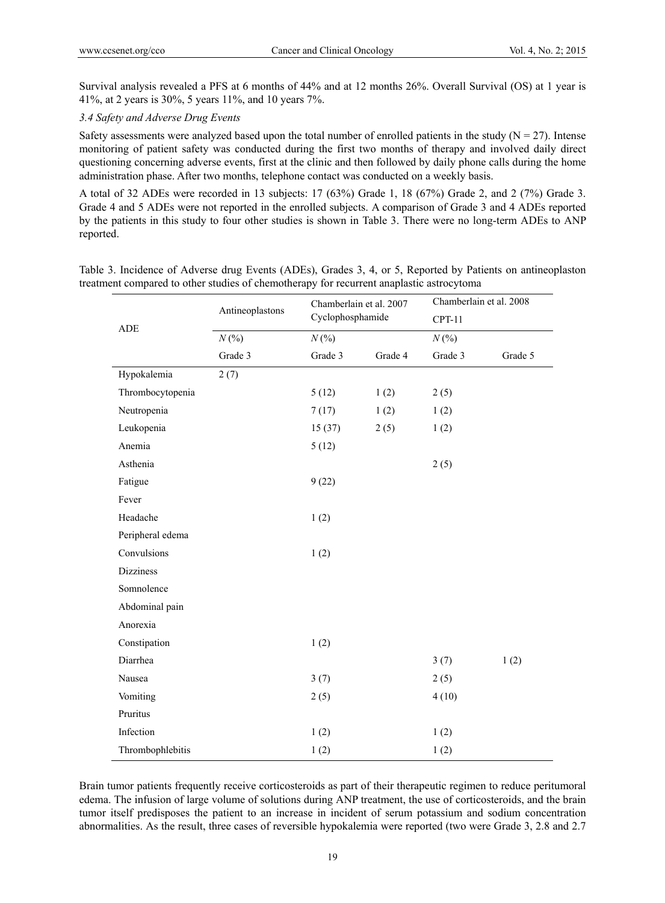Survival analysis revealed a PFS at 6 months of 44% and at 12 months 26%. Overall Survival (OS) at 1 year is 41%, at 2 years is 30%, 5 years 11%, and 10 years 7%.

## *3.4 Safety and Adverse Drug Events*

Safety assessments were analyzed based upon the total number of enrolled patients in the study  $(N = 27)$ . Intense monitoring of patient safety was conducted during the first two months of therapy and involved daily direct questioning concerning adverse events, first at the clinic and then followed by daily phone calls during the home administration phase. After two months, telephone contact was conducted on a weekly basis.

A total of 32 ADEs were recorded in 13 subjects: 17 (63%) Grade 1, 18 (67%) Grade 2, and 2 (7%) Grade 3. Grade 4 and 5 ADEs were not reported in the enrolled subjects. A comparison of Grade 3 and 4 ADEs reported by the patients in this study to four other studies is shown in Table 3. There were no long-term ADEs to ANP reported.

| ADE              | Antineoplastons |         | Chamberlain et al. 2007<br>Cyclophosphamide |         | Chamberlain et al. 2008<br>$CPT-11$ |  |  |
|------------------|-----------------|---------|---------------------------------------------|---------|-------------------------------------|--|--|
|                  |                 |         |                                             |         |                                     |  |  |
|                  | N(%             | N(%     |                                             |         | N(%                                 |  |  |
|                  | Grade 3         | Grade 3 | Grade 4                                     | Grade 3 | Grade 5                             |  |  |
| Hypokalemia      | 2(7)            |         |                                             |         |                                     |  |  |
| Thrombocytopenia |                 | 5(12)   | 1(2)                                        | 2(5)    |                                     |  |  |
| Neutropenia      |                 | 7(17)   | 1(2)                                        | 1(2)    |                                     |  |  |
| Leukopenia       |                 | 15(37)  | 2(5)                                        | 1(2)    |                                     |  |  |
| Anemia           |                 | 5(12)   |                                             |         |                                     |  |  |
| Asthenia         |                 |         |                                             | 2(5)    |                                     |  |  |
| Fatigue          |                 | 9(22)   |                                             |         |                                     |  |  |
| Fever            |                 |         |                                             |         |                                     |  |  |
| Headache         |                 | 1(2)    |                                             |         |                                     |  |  |
| Peripheral edema |                 |         |                                             |         |                                     |  |  |
| Convulsions      |                 | 1(2)    |                                             |         |                                     |  |  |
| <b>Dizziness</b> |                 |         |                                             |         |                                     |  |  |
| Somnolence       |                 |         |                                             |         |                                     |  |  |
| Abdominal pain   |                 |         |                                             |         |                                     |  |  |
| Anorexia         |                 |         |                                             |         |                                     |  |  |
| Constipation     |                 | 1(2)    |                                             |         |                                     |  |  |
| Diarrhea         |                 |         |                                             | 3(7)    | 1(2)                                |  |  |
| Nausea           |                 | 3(7)    |                                             | 2(5)    |                                     |  |  |
| Vomiting         |                 | 2(5)    |                                             | 4(10)   |                                     |  |  |
| Pruritus         |                 |         |                                             |         |                                     |  |  |
| Infection        |                 | 1(2)    |                                             | 1(2)    |                                     |  |  |
| Thrombophlebitis |                 | 1(2)    |                                             | 1(2)    |                                     |  |  |

Table 3. Incidence of Adverse drug Events (ADEs), Grades 3, 4, or 5, Reported by Patients on antineoplaston treatment compared to other studies of chemotherapy for recurrent anaplastic astrocytoma

Brain tumor patients frequently receive corticosteroids as part of their therapeutic regimen to reduce peritumoral edema. The infusion of large volume of solutions during ANP treatment, the use of corticosteroids, and the brain tumor itself predisposes the patient to an increase in incident of serum potassium and sodium concentration abnormalities. As the result, three cases of reversible hypokalemia were reported (two were Grade 3, 2.8 and 2.7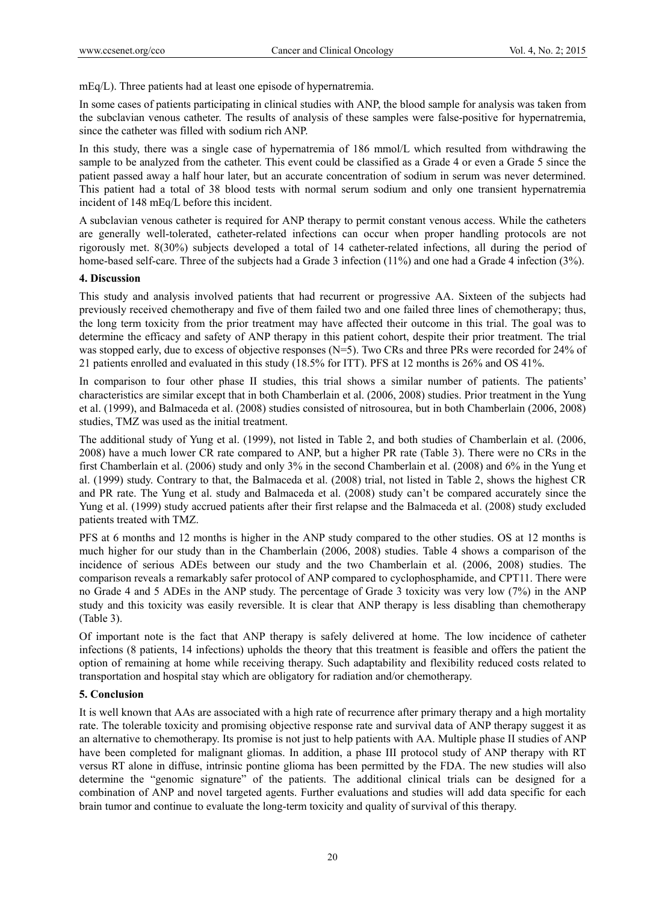mEq/L). Three patients had at least one episode of hypernatremia.

In some cases of patients participating in clinical studies with ANP, the blood sample for analysis was taken from the subclavian venous catheter. The results of analysis of these samples were false-positive for hypernatremia, since the catheter was filled with sodium rich ANP.

In this study, there was a single case of hypernatremia of 186 mmol/L which resulted from withdrawing the sample to be analyzed from the catheter. This event could be classified as a Grade 4 or even a Grade 5 since the patient passed away a half hour later, but an accurate concentration of sodium in serum was never determined. This patient had a total of 38 blood tests with normal serum sodium and only one transient hypernatremia incident of 148 mEq/L before this incident.

A subclavian venous catheter is required for ANP therapy to permit constant venous access. While the catheters are generally well-tolerated, catheter-related infections can occur when proper handling protocols are not rigorously met. 8(30%) subjects developed a total of 14 catheter-related infections, all during the period of home-based self-care. Three of the subjects had a Grade 3 infection (11%) and one had a Grade 4 infection (3%).

## **4. Discussion**

This study and analysis involved patients that had recurrent or progressive AA. Sixteen of the subjects had previously received chemotherapy and five of them failed two and one failed three lines of chemotherapy; thus, the long term toxicity from the prior treatment may have affected their outcome in this trial. The goal was to determine the efficacy and safety of ANP therapy in this patient cohort, despite their prior treatment. The trial was stopped early, due to excess of objective responses (N=5). Two CRs and three PRs were recorded for 24% of 21 patients enrolled and evaluated in this study (18.5% for ITT). PFS at 12 months is 26% and OS 41%.

In comparison to four other phase II studies, this trial shows a similar number of patients. The patients' characteristics are similar except that in both Chamberlain et al. (2006, 2008) studies. Prior treatment in the Yung et al. (1999), and Balmaceda et al. (2008) studies consisted of nitrosourea, but in both Chamberlain (2006, 2008) studies, TMZ was used as the initial treatment.

The additional study of Yung et al. (1999), not listed in Table 2, and both studies of Chamberlain et al. (2006, 2008) have a much lower CR rate compared to ANP, but a higher PR rate (Table 3). There were no CRs in the first Chamberlain et al. (2006) study and only 3% in the second Chamberlain et al. (2008) and 6% in the Yung et al. (1999) study. Contrary to that, the Balmaceda et al. (2008) trial, not listed in Table 2, shows the highest CR and PR rate. The Yung et al. study and Balmaceda et al. (2008) study can't be compared accurately since the Yung et al. (1999) study accrued patients after their first relapse and the Balmaceda et al. (2008) study excluded patients treated with TMZ.

PFS at 6 months and 12 months is higher in the ANP study compared to the other studies. OS at 12 months is much higher for our study than in the Chamberlain (2006, 2008) studies. Table 4 shows a comparison of the incidence of serious ADEs between our study and the two Chamberlain et al. (2006, 2008) studies. The comparison reveals a remarkably safer protocol of ANP compared to cyclophosphamide, and CPT11. There were no Grade 4 and 5 ADEs in the ANP study. The percentage of Grade 3 toxicity was very low (7%) in the ANP study and this toxicity was easily reversible. It is clear that ANP therapy is less disabling than chemotherapy (Table 3).

Of important note is the fact that ANP therapy is safely delivered at home. The low incidence of catheter infections (8 patients, 14 infections) upholds the theory that this treatment is feasible and offers the patient the option of remaining at home while receiving therapy. Such adaptability and flexibility reduced costs related to transportation and hospital stay which are obligatory for radiation and/or chemotherapy.

## **5. Conclusion**

It is well known that AAs are associated with a high rate of recurrence after primary therapy and a high mortality rate. The tolerable toxicity and promising objective response rate and survival data of ANP therapy suggest it as an alternative to chemotherapy. Its promise is not just to help patients with AA. Multiple phase II studies of ANP have been completed for malignant gliomas. In addition, a phase III protocol study of ANP therapy with RT versus RT alone in diffuse, intrinsic pontine glioma has been permitted by the FDA. The new studies will also determine the "genomic signature" of the patients. The additional clinical trials can be designed for a combination of ANP and novel targeted agents. Further evaluations and studies will add data specific for each brain tumor and continue to evaluate the long-term toxicity and quality of survival of this therapy.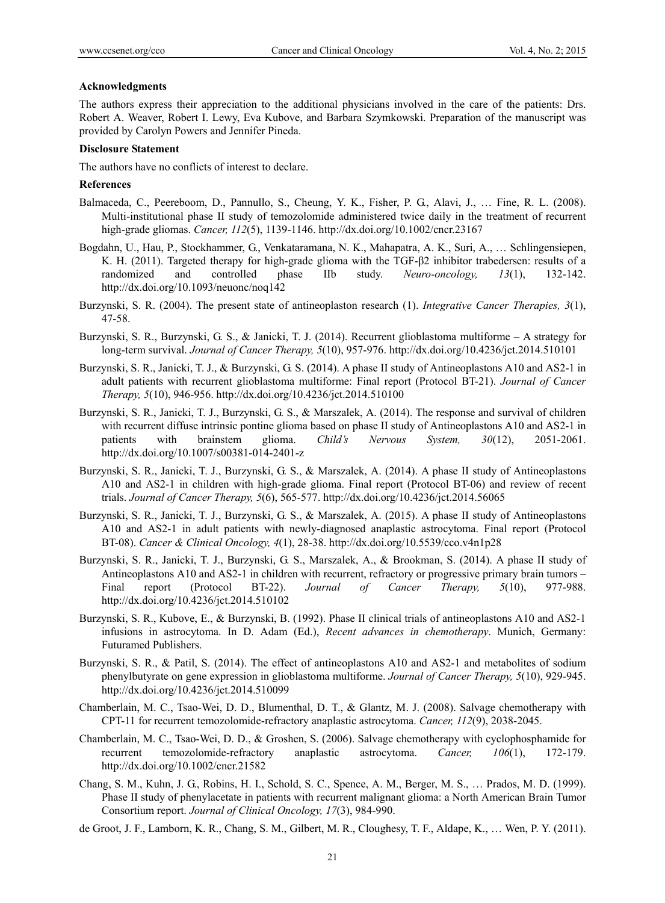#### **Acknowledgments**

The authors express their appreciation to the additional physicians involved in the care of the patients: Drs. Robert A. Weaver, Robert I. Lewy, Eva Kubove, and Barbara Szymkowski. Preparation of the manuscript was provided by Carolyn Powers and Jennifer Pineda.

### **Disclosure Statement**

The authors have no conflicts of interest to declare.

## **References**

- Balmaceda, C., Peereboom, D., Pannullo, S., Cheung, Y. K., Fisher, P. G., Alavi, J., … Fine, R. L. (2008). Multi-institutional phase II study of temozolomide administered twice daily in the treatment of recurrent high-grade gliomas. *Cancer, 112*(5), 1139-1146. http://dx.doi.org/10.1002/cncr.23167
- Bogdahn, U., Hau, P., Stockhammer, G., Venkataramana, N. K., Mahapatra, A. K., Suri, A., … Schlingensiepen, K. H. (2011). Targeted therapy for high-grade glioma with the TGF-β2 inhibitor trabedersen: results of a randomized and controlled phase IIb study. *Neuro-oncology, 13*(1), 132-142. http://dx.doi.org/10.1093/neuonc/noq142
- Burzynski, S. R. (2004). The present state of antineoplaston research (1). *Integrative Cancer Therapies, 3*(1), 47-58.
- Burzynski, S. R., Burzynski, G. S., & Janicki, T. J. (2014). Recurrent glioblastoma multiforme A strategy for long-term survival. *Journal of Cancer Therapy, 5*(10), 957-976. http://dx.doi.org/10.4236/jct.2014.510101
- Burzynski, S. R., Janicki, T. J., & Burzynski, G. S. (2014). A phase II study of Antineoplastons A10 and AS2-1 in adult patients with recurrent glioblastoma multiforme: Final report (Protocol BT-21). *Journal of Cancer Therapy, 5*(10), 946-956. http://dx.doi.org/10.4236/jct.2014.510100
- Burzynski, S. R., Janicki, T. J., Burzynski, G. S., & Marszalek, A. (2014). The response and survival of children with recurrent diffuse intrinsic pontine glioma based on phase II study of Antineoplastons A10 and AS2-1 in patients with brainstem glioma. *Child's Nervous System, 30*(12), 2051-2061. http://dx.doi.org/10.1007/s00381-014-2401-z
- Burzynski, S. R., Janicki, T. J., Burzynski, G. S., & Marszalek, A. (2014). A phase II study of Antineoplastons A10 and AS2-1 in children with high-grade glioma. Final report (Protocol BT-06) and review of recent trials. *Journal of Cancer Therapy, 5*(6), 565-577. http://dx.doi.org/10.4236/jct.2014.56065
- Burzynski, S. R., Janicki, T. J., Burzynski, G. S., & Marszalek, A. (2015). A phase II study of Antineoplastons A10 and AS2-1 in adult patients with newly-diagnosed anaplastic astrocytoma. Final report (Protocol BT-08). *Cancer & Clinical Oncology, 4*(1), 28-38. http://dx.doi.org/10.5539/cco.v4n1p28
- Burzynski, S. R., Janicki, T. J., Burzynski, G. S., Marszalek, A., & Brookman, S. (2014). A phase II study of Antineoplastons A10 and AS2-1 in children with recurrent, refractory or progressive primary brain tumors – Final report (Protocol BT-22). *Journal of Cancer Therapy, 5*(10), 977-988. http://dx.doi.org/10.4236/jct.2014.510102
- Burzynski, S. R., Kubove, E., & Burzynski, B. (1992). Phase II clinical trials of antineoplastons A10 and AS2-1 infusions in astrocytoma. In D. Adam (Ed.), *Recent advances in chemotherapy*. Munich, Germany: Futuramed Publishers.
- Burzynski, S. R., & Patil, S. (2014). The effect of antineoplastons A10 and AS2-1 and metabolites of sodium phenylbutyrate on gene expression in glioblastoma multiforme. *Journal of Cancer Therapy, 5*(10), 929-945. http://dx.doi.org/10.4236/jct.2014.510099
- Chamberlain, M. C., Tsao-Wei, D. D., Blumenthal, D. T., & Glantz, M. J. (2008). Salvage chemotherapy with CPT-11 for recurrent temozolomide-refractory anaplastic astrocytoma. *Cancer, 112*(9), 2038-2045.
- Chamberlain, M. C., Tsao-Wei, D. D., & Groshen, S. (2006). Salvage chemotherapy with cyclophosphamide for recurrent temozolomide-refractory anaplastic astrocytoma. *Cancer, 106*(1), 172-179. http://dx.doi.org/10.1002/cncr.21582
- Chang, S. M., Kuhn, J. G., Robins, H. I., Schold, S. C., Spence, A. M., Berger, M. S., … Prados, M. D. (1999). Phase II study of phenylacetate in patients with recurrent malignant glioma: a North American Brain Tumor Consortium report. *Journal of Clinical Oncology, 17*(3), 984-990.
- de Groot, J. F., Lamborn, K. R., Chang, S. M., Gilbert, M. R., Cloughesy, T. F., Aldape, K., … Wen, P. Y. (2011).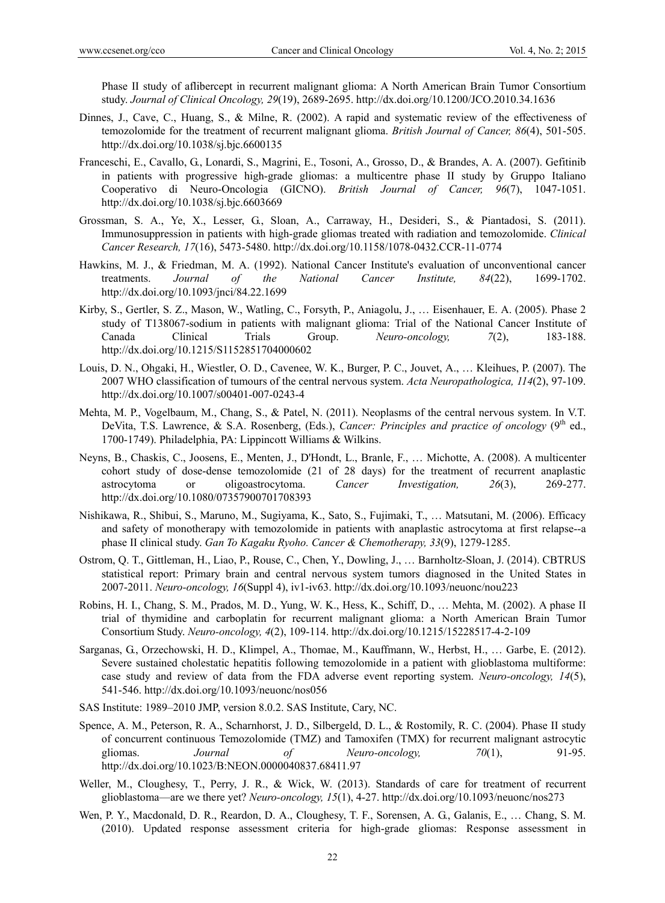Phase II study of aflibercept in recurrent malignant glioma: A North American Brain Tumor Consortium study. *Journal of Clinical Oncology, 29*(19), 2689-2695. http://dx.doi.org/10.1200/JCO.2010.34.1636

- Dinnes, J., Cave, C., Huang, S., & Milne, R. (2002). A rapid and systematic review of the effectiveness of temozolomide for the treatment of recurrent malignant glioma. *British Journal of Cancer, 86*(4), 501-505. http://dx.doi.org/10.1038/sj.bjc.6600135
- Franceschi, E., Cavallo, G., Lonardi, S., Magrini, E., Tosoni, A., Grosso, D., & Brandes, A. A. (2007). Gefitinib in patients with progressive high-grade gliomas: a multicentre phase II study by Gruppo Italiano Cooperativo di Neuro-Oncologia (GICNO). *British Journal of Cancer, 96*(7), 1047-1051. http://dx.doi.org/10.1038/sj.bjc.6603669
- Grossman, S. A., Ye, X., Lesser, G., Sloan, A., Carraway, H., Desideri, S., & Piantadosi, S. (2011). Immunosuppression in patients with high-grade gliomas treated with radiation and temozolomide. *Clinical Cancer Research, 17*(16), 5473-5480. http://dx.doi.org/10.1158/1078-0432.CCR-11-0774
- Hawkins, M. J., & Friedman, M. A. (1992). National Cancer Institute's evaluation of unconventional cancer treatments. *Journal of the National Cancer Institute, 84*(22), 1699-1702. http://dx.doi.org/10.1093/jnci/84.22.1699
- Kirby, S., Gertler, S. Z., Mason, W., Watling, C., Forsyth, P., Aniagolu, J., … Eisenhauer, E. A. (2005). Phase 2 study of T138067-sodium in patients with malignant glioma: Trial of the National Cancer Institute of Canada Clinical Trials Group. *Neuro-oncology, 7*(2), 183-188. http://dx.doi.org/10.1215/S1152851704000602
- Louis, D. N., Ohgaki, H., Wiestler, O. D., Cavenee, W. K., Burger, P. C., Jouvet, A., … Kleihues, P. (2007). The 2007 WHO classification of tumours of the central nervous system. *Acta Neuropathologica, 114*(2), 97-109. http://dx.doi.org/10.1007/s00401-007-0243-4
- Mehta, M. P., Vogelbaum, M., Chang, S., & Patel, N. (2011). Neoplasms of the central nervous system. In V.T. DeVita, T.S. Lawrence, & S.A. Rosenberg, (Eds.), *Cancer: Principles and practice of oncology* (9<sup>th</sup> ed., 1700-1749). Philadelphia, PA: Lippincott Williams & Wilkins.
- Neyns, B., Chaskis, C., Joosens, E., Menten, J., D'Hondt, L., Branle, F., … Michotte, A. (2008). A multicenter cohort study of dose-dense temozolomide (21 of 28 days) for the treatment of recurrent anaplastic astrocytoma or oligoastrocytoma. *Cancer Investigation, 26*(3), 269-277. http://dx.doi.org/10.1080/07357900701708393
- Nishikawa, R., Shibui, S., Maruno, M., Sugiyama, K., Sato, S., Fujimaki, T., … Matsutani, M. (2006). Efficacy and safety of monotherapy with temozolomide in patients with anaplastic astrocytoma at first relapse--a phase II clinical study. *Gan To Kagaku Ryoho. Cancer & Chemotherapy, 33*(9), 1279-1285.
- Ostrom, Q. T., Gittleman, H., Liao, P., Rouse, C., Chen, Y., Dowling, J., … Barnholtz-Sloan, J. (2014). CBTRUS statistical report: Primary brain and central nervous system tumors diagnosed in the United States in 2007-2011. *Neuro-oncology, 16*(Suppl 4), iv1-iv63. http://dx.doi.org/10.1093/neuonc/nou223
- Robins, H. I., Chang, S. M., Prados, M. D., Yung, W. K., Hess, K., Schiff, D., … Mehta, M. (2002). A phase II trial of thymidine and carboplatin for recurrent malignant glioma: a North American Brain Tumor Consortium Study. *Neuro-oncology, 4*(2), 109-114. http://dx.doi.org/10.1215/15228517-4-2-109
- Sarganas, G., Orzechowski, H. D., Klimpel, A., Thomae, M., Kauffmann, W., Herbst, H., … Garbe, E. (2012). Severe sustained cholestatic hepatitis following temozolomide in a patient with glioblastoma multiforme: case study and review of data from the FDA adverse event reporting system. *Neuro-oncology, 14*(5), 541-546. http://dx.doi.org/10.1093/neuonc/nos056
- SAS Institute: 1989–2010 JMP, version 8.0.2. SAS Institute, Cary, NC.
- Spence, A. M., Peterson, R. A., Scharnhorst, J. D., Silbergeld, D. L., & Rostomily, R. C. (2004). Phase II study of concurrent continuous Temozolomide (TMZ) and Tamoxifen (TMX) for recurrent malignant astrocytic gliomas. *Journal of Neuro-oncology, 70*(1), 91-95. http://dx.doi.org/10.1023/B:NEON.0000040837.68411.97
- Weller, M., Cloughesy, T., Perry, J. R., & Wick, W. (2013). Standards of care for treatment of recurrent glioblastoma—are we there yet? *Neuro-oncology, 15*(1), 4-27. http://dx.doi.org/10.1093/neuonc/nos273
- Wen, P. Y., Macdonald, D. R., Reardon, D. A., Cloughesy, T. F., Sorensen, A. G., Galanis, E., … Chang, S. M. (2010). Updated response assessment criteria for high-grade gliomas: Response assessment in